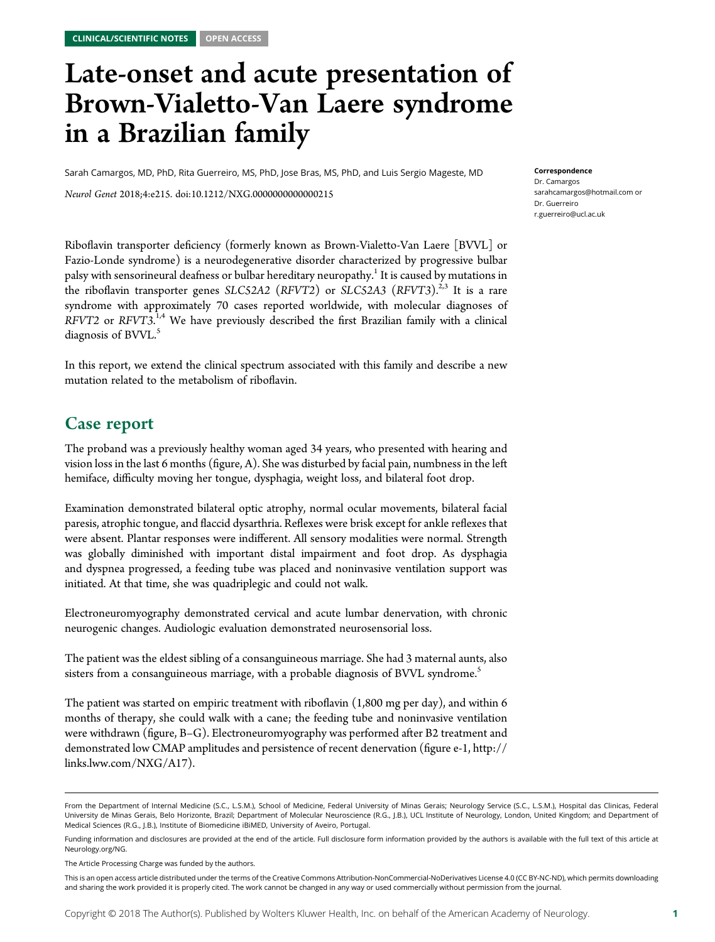# Late-onset and acute presentation of Brown-Vialetto-Van Laere syndrome in a Brazilian family

Sarah Camargos, MD, PhD, Rita Guerreiro, MS, PhD, Jose Bras, MS, PhD, and Luis Sergio Mageste, MD

Neurol Genet 2018;4:e215. doi:[10.1212/NXG.0000000000000215](http://dx.doi.org/10.1212/NXG.0000000000000215)

Riboflavin transporter deficiency (formerly known as Brown-Vialetto-Van Laere [BVVL] or Fazio-Londe syndrome) is a neurodegenerative disorder characterized by progressive bulbar palsy with sensorineural deafness or bulbar hereditary neuropathy.<sup>1</sup> It is caused by mutations in the riboflavin transporter genes SLC52A2 (RFVT2) or SLC52A3 (RFVT3).<sup>2,3</sup> It is a rare syndrome with approximately 70 cases reported worldwide, with molecular diagnoses of  $RFV T2$  or  $RFV T3.$ <sup>1,4</sup> We have previously described the first Brazilian family with a clinical diagnosis of BVVL.<sup>5</sup>

In this report, we extend the clinical spectrum associated with this family and describe a new mutation related to the metabolism of riboflavin.

### Case report

The proband was a previously healthy woman aged 34 years, who presented with hearing and vision loss in the last 6 months (figure, A). She was disturbed by facial pain, numbness in the left hemiface, difficulty moving her tongue, dysphagia, weight loss, and bilateral foot drop.

Examination demonstrated bilateral optic atrophy, normal ocular movements, bilateral facial paresis, atrophic tongue, and flaccid dysarthria. Reflexes were brisk except for ankle reflexes that were absent. Plantar responses were indifferent. All sensory modalities were normal. Strength was globally diminished with important distal impairment and foot drop. As dysphagia and dyspnea progressed, a feeding tube was placed and noninvasive ventilation support was initiated. At that time, she was quadriplegic and could not walk.

Electroneuromyography demonstrated cervical and acute lumbar denervation, with chronic neurogenic changes. Audiologic evaluation demonstrated neurosensorial loss.

The patient was the eldest sibling of a consanguineous marriage. She had 3 maternal aunts, also sisters from a consanguineous marriage, with a probable diagnosis of BVVL syndrome.<sup>5</sup>

The patient was started on empiric treatment with riboflavin (1,800 mg per day), and within 6 months of therapy, she could walk with a cane; the feeding tube and noninvasive ventilation were withdrawn (figure, B–G). Electroneuromyography was performed after B2 treatment and demonstrated low CMAP amplitudes and persistence of recent denervation (figure e-1, [http://](http://links.lww.com/NXG/A17) [links.lww.com/NXG/A17\)](http://links.lww.com/NXG/A17).

Correspondence Dr. Camargos [sarahcamargos@hotmail.com](mailto:sarahcamargos@hotmail.com) or Dr. Guerreiro

[r.guerreiro@ucl.ac.uk](mailto:r.guerreiro@ucl.ac.uk)

From the Department of Internal Medicine (S.C., L.S.M.), School of Medicine, Federal University of Minas Gerais; Neurology Service (S.C., L.S.M.), Hospital das Clinicas, Federal University de Minas Gerais, Belo Horizonte, Brazil; Department of Molecular Neuroscience (R.G., J.B.), UCL Institute of Neurology, London, United Kingdom; and Department of Medical Sciences (R.G., J.B.), Institute of Biomedicine iBiMED, University of Aveiro, Portugal.

Funding information and disclosures are provided at the end of the article. Full disclosure form information provided by the authors is available with the full text of this article at [Neurology.org/NG](http://ng.neurology.org/lookup/doi/10.1212/NXG.0000000000000209).

The Article Processing Charge was funded by the authors.

This is an open access article distributed under the terms of the [Creative Commons Attribution-NonCommercial-NoDerivatives License 4.0 \(CC BY-NC-ND\),](http://creativecommons.org/licenses/by-nc-nd/4.0/) which permits downloading and sharing the work provided it is properly cited. The work cannot be changed in any way or used commercially without permission from the journal.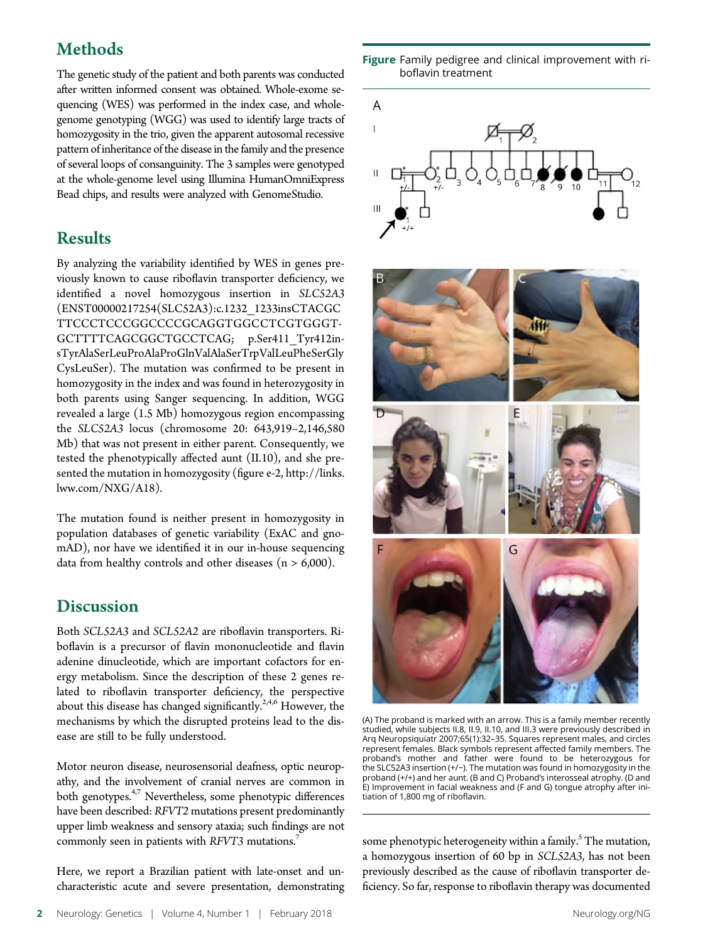# **Methods**

The genetic study of the patient and both parents was conducted after written informed consent was obtained. Whole-exome sequencing (WES) was performed in the index case, and wholegenome genotyping (WGG) was used to identify large tracts of homozygosity in the trio, given the apparent autosomal recessive pattern of inheritance of the disease in the family and the presence of several loops of consanguinity. The 3 samples were genotyped at the whole-genome level using Illumina HumanOmniExpress Bead chips, and results were analyzed with GenomeStudio.

# **Results**

By analyzing the variability identified by WES in genes previously known to cause riboflavin transporter deficiency, we identified a novel homozygous insertion in SLC52A3 (ENST00000217254(SLC52A3):c.1232\_1233insCTACGC TTCCCTCCCGGCCCCGCAGGTGGCCTCGTGGGT-GCTTTTCAGCGGCTGCCTCAG; p.Ser411\_Tyr412insTyrAlaSerLeuProAlaProGlnValAlaSerTrpValLeuPheSerGly CysLeuSer). The mutation was confirmed to be present in homozygosity in the index and was found in heterozygosity in both parents using Sanger sequencing. In addition, WGG revealed a large (1.5 Mb) homozygous region encompassing the SLC52A3 locus (chromosome 20: 643,919–2,146,580 Mb) that was not present in either parent. Consequently, we tested the phenotypically affected aunt (II.10), and she presented the mutation in homozygosity (figure e-2, [http://links.](http://links.lww.com/NXG/A18) [lww.com/NXG/A18\)](http://links.lww.com/NXG/A18).

The mutation found is neither present in homozygosity in population databases of genetic variability (ExAC and gnomAD), nor have we identified it in our in-house sequencing data from healthy controls and other diseases  $(n > 6,000)$ .

# **Discussion**

Both SCL52A3 and SCL52A2 are riboflavin transporters. Riboflavin is a precursor of flavin mononucleotide and flavin adenine dinucleotide, which are important cofactors for energy metabolism. Since the description of these 2 genes related to riboflavin transporter deficiency, the perspective about this disease has changed significantly.<sup>2,4,6</sup> However, the mechanisms by which the disrupted proteins lead to the disease are still to be fully understood.

Motor neuron disease, neurosensorial deafness, optic neuropathy, and the involvement of cranial nerves are common in both genotypes.<sup>4,7</sup> Nevertheless, some phenotypic differences have been described: RFVT2 mutations present predominantly upper limb weakness and sensory ataxia; such findings are not commonly seen in patients with RFVT3 mutations.<sup>7</sup>

Here, we report a Brazilian patient with late-onset and uncharacteristic acute and severe presentation, demonstrating

Figure Family pedigree and clinical improvement with riboflavin treatment





(A) The proband is marked with an arrow. This is a family member recently studied, while subjects II.8, II.9, II.10, and III.3 were previously described in Arq Neuropsiquiatr 2007;65(1):32–35. Squares represent males, and circles represent females. Black symbols represent affected family members. The proband's mother and father were found to be heterozygous for the SLC52A3 insertion (+/−). The mutation was found in homozygosity in the proband (+/+) and her aunt. (B and C) Proband's interosseal atrophy. (D and E) Improvement in facial weakness and (F and G) tongue atrophy after initiation of 1,800 mg of riboflavin.

some phenotypic heterogeneity within a family.<sup>5</sup> The mutation, a homozygous insertion of 60 bp in SCL52A3, has not been previously described as the cause of riboflavin transporter deficiency. So far, response to riboflavin therapy was documented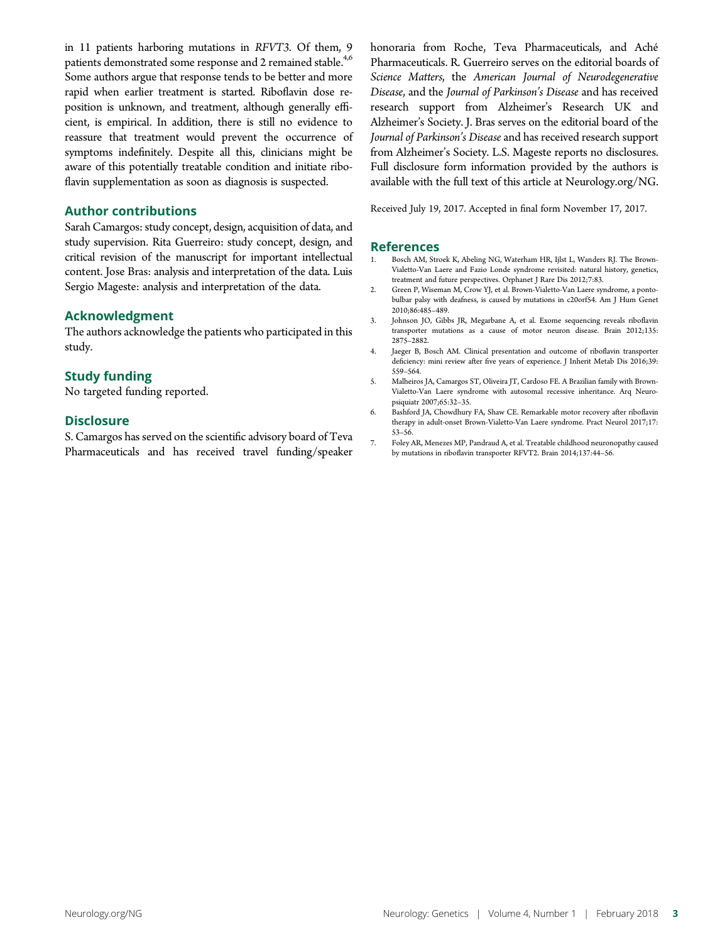in 11 patients harboring mutations in RFVT3. Of them, 9 patients demonstrated some response and 2 remained stable.<sup>4,6</sup> Some authors argue that response tends to be better and more rapid when earlier treatment is started. Riboflavin dose reposition is unknown, and treatment, although generally efficient, is empirical. In addition, there is still no evidence to reassure that treatment would prevent the occurrence of symptoms indefinitely. Despite all this, clinicians might be aware of this potentially treatable condition and initiate riboflavin supplementation as soon as diagnosis is suspected.

#### Author contributions

Sarah Camargos: study concept, design, acquisition of data, and study supervision. Rita Guerreiro: study concept, design, and critical revision of the manuscript for important intellectual content. Jose Bras: analysis and interpretation of the data. Luis Sergio Mageste: analysis and interpretation of the data.

#### Acknowledgment

The authors acknowledge the patients who participated in this study.

#### Study funding

No targeted funding reported.

#### **Disclosure**

S. Camargos has served on the scientific advisory board of Teva Pharmaceuticals and has received travel funding/speaker honoraria from Roche, Teva Pharmaceuticals, and Aché Pharmaceuticals. R. Guerreiro serves on the editorial boards of Science Matters, the American Journal of Neurodegenerative Disease, and the Journal of Parkinson's Disease and has received research support from Alzheimer's Research UK and Alzheimer's Society. J. Bras serves on the editorial board of the Journal of Parkinson's Disease and has received research support from Alzheimer's Society. L.S. Mageste reports no disclosures. Full disclosure form information provided by the authors is available with the full text of this article at [Neurology.org/NG.](http://ng.neurology.org/lookup/doi/10.1212/NXG.0000000000000209)

Received July 19, 2017. Accepted in final form November 17, 2017.

#### References

- 1. Bosch AM, Stroek K, Abeling NG, Waterham HR, Ijlst L, Wanders RJ. The Brown-Vialetto-Van Laere and Fazio Londe syndrome revisited: natural history, genetics, treatment and future perspectives. Orphanet J Rare Dis 2012;7:83.
- 2. Green P, Wiseman M, Crow YJ, et al. Brown-Vialetto-Van Laere syndrome, a pontobulbar palsy with deafness, is caused by mutations in c20orf54. Am J Hum Genet 2010;86:485–489.
- 3. Johnson JO, Gibbs JR, Megarbane A, et al. Exome sequencing reveals riboflavin transporter mutations as a cause of motor neuron disease. Brain 2012;135: 2875–2882.
- 4. Jaeger B, Bosch AM. Clinical presentation and outcome of riboflavin transporter deficiency: mini review after five years of experience. J Inherit Metab Dis 2016;39: 559–564.
- 5. Malheiros JA, Camargos ST, Oliveira JT, Cardoso FE. A Brazilian family with Brown-Vialetto-Van Laere syndrome with autosomal recessive inheritance. Arq Neuropsiquiatr 2007;65:32–35.
- 6. Bashford JA, Chowdhury FA, Shaw CE. Remarkable motor recovery after riboflavin therapy in adult-onset Brown-Vialetto-Van Laere syndrome. Pract Neurol 2017;17: 53–56.
- 7. Foley AR, Menezes MP, Pandraud A, et al. Treatable childhood neuronopathy caused by mutations in riboflavin transporter RFVT2. Brain 2014;137:44–56.